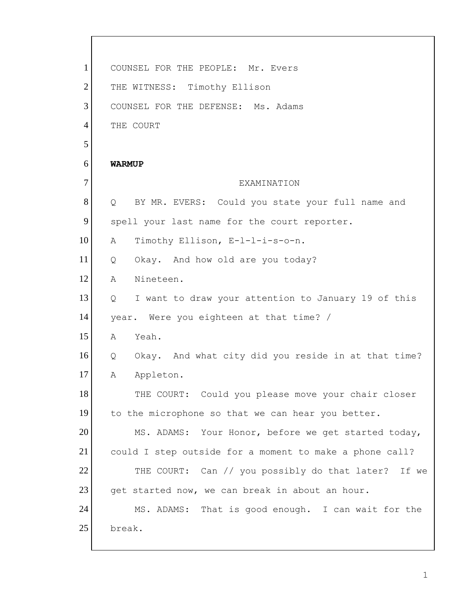| $\mathbf{1}$   | COUNSEL FOR THE PEOPLE: Mr. Evers                                        |
|----------------|--------------------------------------------------------------------------|
| $\overline{2}$ | THE WITNESS: Timothy Ellison                                             |
| 3              | COUNSEL FOR THE DEFENSE: Ms. Adams                                       |
| $\overline{4}$ | THE COURT                                                                |
| 5              |                                                                          |
| 6              | <b>WARMUP</b>                                                            |
| $\tau$         | EXAMINATION                                                              |
| 8              | BY MR. EVERS: Could you state your full name and<br>$Q \qquad \qquad$    |
| 9              | spell your last name for the court reporter.                             |
| 10             | Timothy Ellison, E-1-1-i-s-o-n.<br>A                                     |
| 11             | Okay. And how old are you today?<br>Q                                    |
| 12             | Nineteen.<br>A                                                           |
| 13             | I want to draw your attention to January 19 of this<br>$Q \qquad \qquad$ |
| 14             | year. Were you eighteen at that time? /                                  |
| 15             | Yeah.<br>A                                                               |
| 16             | Q Okay. And what city did you reside in at that time?                    |
| 17             | Appleton.<br>Α                                                           |
| 18             | THE COURT: Could you please move your chair closer                       |
| 19             | to the microphone so that we can hear you better.                        |
| 20             | MS. ADAMS: Your Honor, before we get started today,                      |
| 21             | could I step outside for a moment to make a phone call?                  |
| 22             | THE COURT: Can // you possibly do that later? If we                      |
| 23             | get started now, we can break in about an hour.                          |
| 24             | MS. ADAMS: That is good enough. I can wait for the                       |
| 25             | break.                                                                   |

1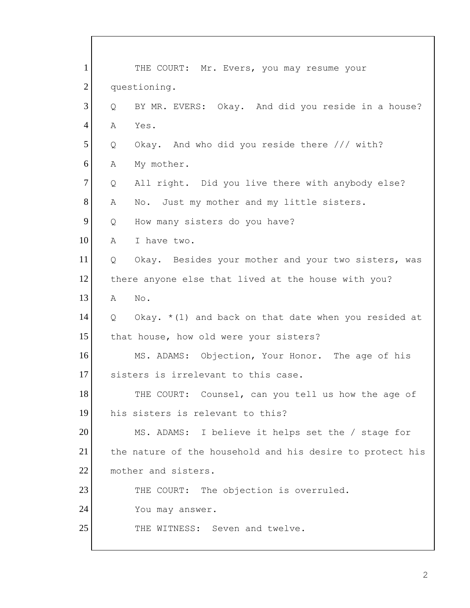| $\mathbf{1}$   | THE COURT: Mr. Evers, you may resume your                   |
|----------------|-------------------------------------------------------------|
| $\overline{2}$ | questioning.                                                |
| 3              | BY MR. EVERS: Okay. And did you reside in a house?<br>Q     |
| $\overline{4}$ | Α<br>Yes.                                                   |
| 5              | Okay. And who did you reside there /// with?<br>Q           |
| 6              | My mother.<br>Α                                             |
| $\tau$         | All right. Did you live there with anybody else?<br>Q       |
| 8              | No. Just my mother and my little sisters.<br>Α              |
| 9              | How many sisters do you have?<br>Q                          |
| 10             | Α<br>I have two.                                            |
| 11             | Q<br>Okay. Besides your mother and your two sisters, was    |
| 12             | there anyone else that lived at the house with you?         |
| 13             | No.<br>Α                                                    |
| 14             | Okay. $*(1)$ and back on that date when you resided at<br>Q |
| 15             | that house, how old were your sisters?                      |
| 16             | MS. ADAMS: Objection, Your Honor. The age of his            |
| 17             | sisters is irrelevant to this case.                         |
| 18             | THE COURT: Counsel, can you tell us how the age of          |
| 19             | his sisters is relevant to this?                            |
| 20             | MS. ADAMS: I believe it helps set the / stage for           |
| 21             | the nature of the household and his desire to protect his   |
| 22             | mother and sisters.                                         |
| 23             | THE COURT: The objection is overruled.                      |
| 24             | You may answer.                                             |
| 25             | THE WITNESS: Seven and twelve.                              |
|                |                                                             |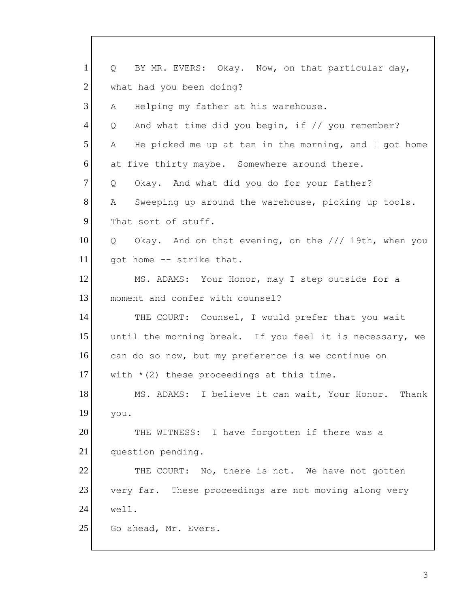1 2 3 4 5 6 7 8 9 10 11 12 13 14 15 16 17 18 19 20 21 22 23 24 25 Q BY MR. EVERS: Okay. Now, on that particular day, what had you been doing? A Helping my father at his warehouse. Q And what time did you begin, if // you remember? A He picked me up at ten in the morning, and I got home at five thirty maybe. Somewhere around there. Q Okay. And what did you do for your father? A Sweeping up around the warehouse, picking up tools. That sort of stuff. Q Okay. And on that evening, on the /// 19th, when you got home -- strike that. MS. ADAMS: Your Honor, may I step outside for a moment and confer with counsel? THE COURT: Counsel, I would prefer that you wait until the morning break. If you feel it is necessary, we can do so now, but my preference is we continue on with  $*(2)$  these proceedings at this time. MS. ADAMS: I believe it can wait, Your Honor. Thank you. THE WITNESS: I have forgotten if there was a question pending. THE COURT: No, there is not. We have not gotten very far. These proceedings are not moving along very well. Go ahead, Mr. Evers.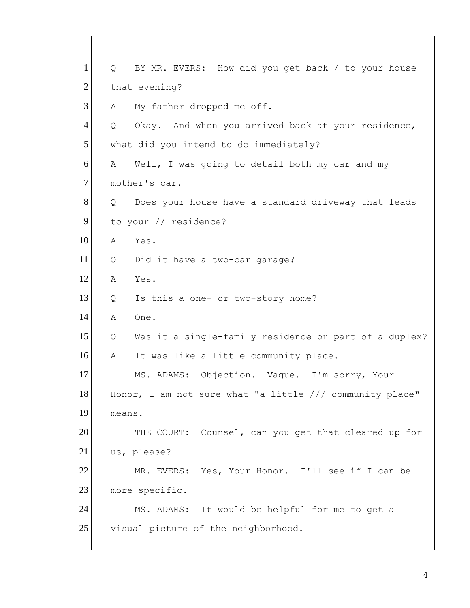1 2 3 4 5 6 7 8 9 10 11 12 13 14 15 16 17 18 19 20 21 22 23 24 25 Q BY MR. EVERS: How did you get back / to your house that evening? A My father dropped me off. Q Okay. And when you arrived back at your residence, what did you intend to do immediately? A Well, I was going to detail both my car and my mother's car. Q Does your house have a standard driveway that leads to your // residence? A Yes. Q Did it have a two-car garage? A Yes. Q Is this a one- or two-story home? A One. Q Was it a single-family residence or part of a duplex? A It was like a little community place. MS. ADAMS: Objection. Vague. I'm sorry, Your Honor, I am not sure what "a little /// community place" means. THE COURT: Counsel, can you get that cleared up for us, please? MR. EVERS: Yes, Your Honor. I'll see if I can be more specific. MS. ADAMS: It would be helpful for me to get a visual picture of the neighborhood.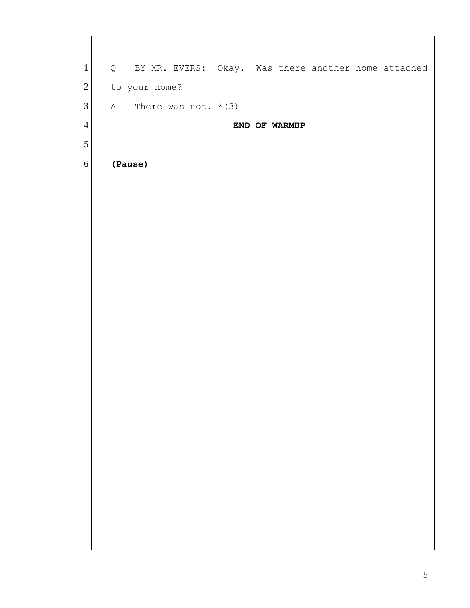| $\mathbf{1}$     | Q BY MR. EVERS: Okay. Was there another home attached |
|------------------|-------------------------------------------------------|
| $\sqrt{2}$       | to your home?                                         |
| $\mathfrak{Z}$   | A There was not. $*(3)$                               |
| $\overline{4}$   | END OF WARMUP                                         |
| $\mathfrak s$    |                                                       |
| $\boldsymbol{6}$ | (Pause)                                               |
|                  |                                                       |
|                  |                                                       |
|                  |                                                       |
|                  |                                                       |
|                  |                                                       |
|                  |                                                       |
|                  |                                                       |
|                  |                                                       |
|                  |                                                       |
|                  |                                                       |
|                  |                                                       |
|                  |                                                       |
|                  |                                                       |
|                  |                                                       |
|                  |                                                       |
|                  |                                                       |
|                  |                                                       |
|                  |                                                       |
|                  |                                                       |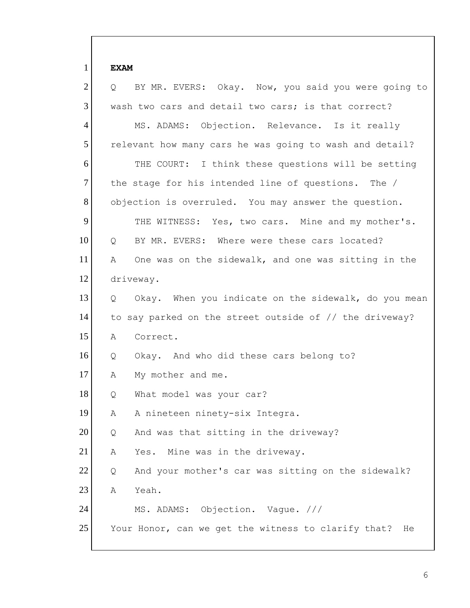1 **EXAM** 2 3 4 5 6 7 8 9 10 11 12 13 14 15 16 17 18 19 20 21 22 23 24 25 Q BY MR. EVERS: Okay. Now, you said you were going to wash two cars and detail two cars; is that correct? MS. ADAMS: Objection. Relevance. Is it really relevant how many cars he was going to wash and detail? THE COURT: I think these questions will be setting the stage for his intended line of questions. The / objection is overruled. You may answer the question. THE WITNESS: Yes, two cars. Mine and my mother's. Q BY MR. EVERS: Where were these cars located? A One was on the sidewalk, and one was sitting in the driveway. Q Okay. When you indicate on the sidewalk, do you mean to say parked on the street outside of // the driveway? A Correct. Q Okay. And who did these cars belong to? A My mother and me. Q What model was your car? A A nineteen ninety-six Integra. Q And was that sitting in the driveway? A Yes. Mine was in the driveway. Q And your mother's car was sitting on the sidewalk? A Yeah. MS. ADAMS: Objection. Vague. /// Your Honor, can we get the witness to clarify that? He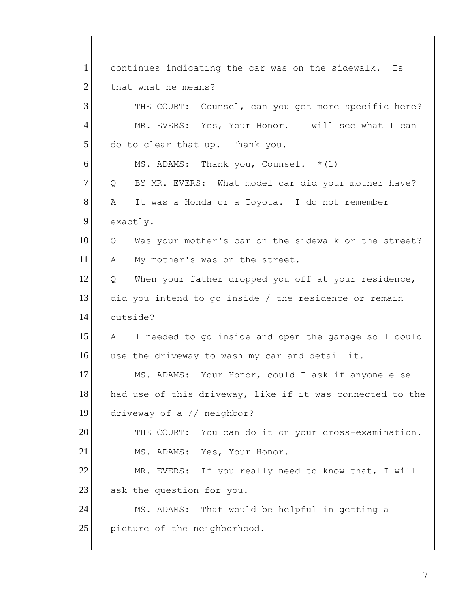1 2 3 4 5 6 7 8 9 10 11 12 13 14 15 16 17 18 19 20 21 22 23 24 25 continues indicating the car was on the sidewalk. Is that what he means? THE COURT: Counsel, can you get more specific here? MR. EVERS: Yes, Your Honor. I will see what I can do to clear that up. Thank you. MS. ADAMS: Thank you, Counsel. \*(1) Q BY MR. EVERS: What model car did your mother have? A It was a Honda or a Toyota. I do not remember exactly. Q Was your mother's car on the sidewalk or the street? A My mother's was on the street. Q When your father dropped you off at your residence, did you intend to go inside / the residence or remain outside? A I needed to go inside and open the garage so I could use the driveway to wash my car and detail it. MS. ADAMS: Your Honor, could I ask if anyone else had use of this driveway, like if it was connected to the driveway of a // neighbor? THE COURT: You can do it on your cross-examination. MS. ADAMS: Yes, Your Honor. MR. EVERS: If you really need to know that, I will ask the question for you. MS. ADAMS: That would be helpful in getting a picture of the neighborhood.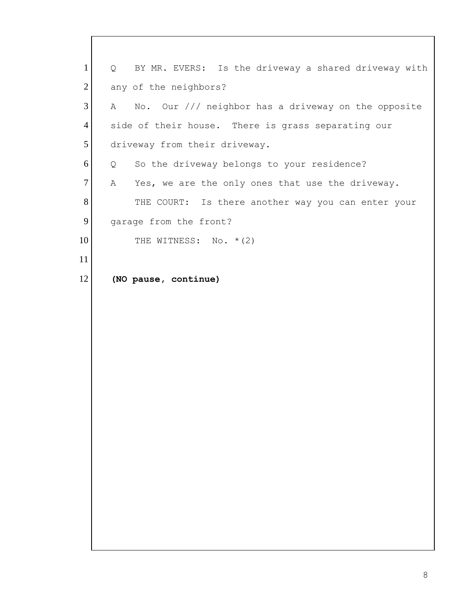1 2 3 4 5 6 7 8 9 10 11 12 Q BY MR. EVERS: Is the driveway a shared driveway with any of the neighbors? A No. Our /// neighbor has a driveway on the opposite side of their house. There is grass separating our driveway from their driveway. Q So the driveway belongs to your residence? A Yes, we are the only ones that use the driveway. THE COURT: Is there another way you can enter your garage from the front? THE WITNESS: No. \* (2) **(NO pause, continue)**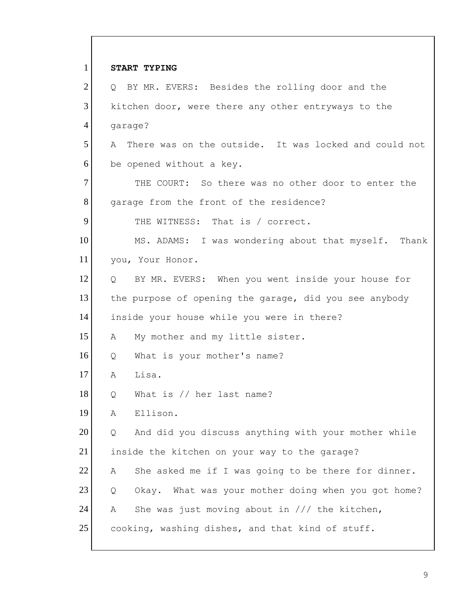| $\mathbf{1}$   | START TYPING                                                |
|----------------|-------------------------------------------------------------|
| $\overline{2}$ | Q BY MR. EVERS: Besides the rolling door and the            |
| 3              | kitchen door, were there any other entryways to the         |
| $\overline{4}$ | garage?                                                     |
| 5              | There was on the outside. It was locked and could not<br>A  |
| 6              | be opened without a key.                                    |
| $\overline{7}$ | THE COURT: So there was no other door to enter the          |
| 8              | garage from the front of the residence?                     |
| 9              | THE WITNESS: That is / correct.                             |
| 10             | MS. ADAMS: I was wondering about that myself. Thank         |
| 11             | you, Your Honor.                                            |
| 12             | BY MR. EVERS: When you went inside your house for<br>Q      |
| 13             | the purpose of opening the garage, did you see anybody      |
| 14             | inside your house while you were in there?                  |
| 15             | My mother and my little sister.<br>A                        |
| 16             | What is your mother's name?<br>Q                            |
| 17             | Lisa.<br>Α                                                  |
| 18             | What is // her last name?<br>Q                              |
| 19             | Ellison.<br>Α                                               |
| 20             | And did you discuss anything with your mother while<br>Q    |
| 21             | inside the kitchen on your way to the garage?               |
| 22             | She asked me if I was going to be there for dinner.<br>Α    |
| 23             | What was your mother doing when you got home?<br>Q<br>Okay. |
| 24             | She was just moving about in $//$ the kitchen,<br>Α         |
| 25             | cooking, washing dishes, and that kind of stuff.            |

 $\mathsf{I}$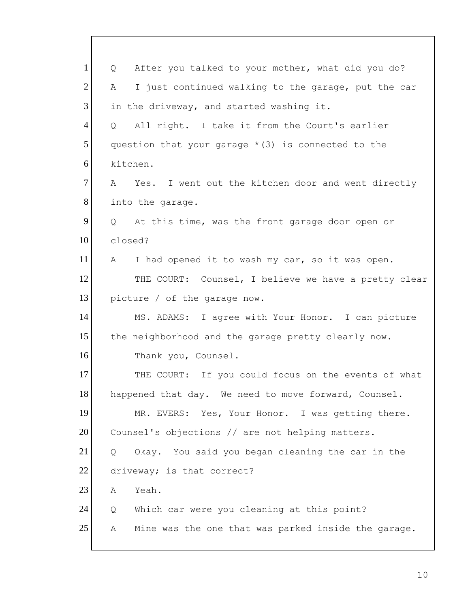| $\mathbf{1}$   | After you talked to your mother, what did you do?<br>Q        |
|----------------|---------------------------------------------------------------|
| $\overline{2}$ | I just continued walking to the garage, put the car<br>A      |
| 3              | in the driveway, and started washing it.                      |
| 4              | All right. I take it from the Court's earlier<br>Q            |
| 5              | question that your garage $*(3)$ is connected to the          |
| 6              | kitchen.                                                      |
| 7              | Yes. I went out the kitchen door and went directly<br>A       |
| 8              | into the garage.                                              |
| 9              | At this time, was the front garage door open or<br>$Q \qquad$ |
| 10             | closed?                                                       |
| 11             | I had opened it to wash my car, so it was open.<br>A          |
| 12             | THE COURT: Counsel, I believe we have a pretty clear          |
| 13             | picture / of the garage now.                                  |
| 14             | MS. ADAMS: I agree with Your Honor. I can picture             |
| 15             | the neighborhood and the garage pretty clearly now.           |
| 16             | Thank you, Counsel.                                           |
| 17             | THE COURT: If you could focus on the events of what           |
| 18             | happened that day. We need to move forward, Counsel.          |
| 19             | MR. EVERS: Yes, Your Honor. I was getting there.              |
| 20             | Counsel's objections // are not helping matters.              |
| 21             | Okay. You said you began cleaning the car in the<br>Q         |
| 22             | driveway; is that correct?                                    |
| 23             | Yeah.<br>Α                                                    |
| 24             | Which car were you cleaning at this point?<br>Q               |
| 25             | Mine was the one that was parked inside the garage.<br>Α      |
|                |                                                               |

 $\mathsf{l}$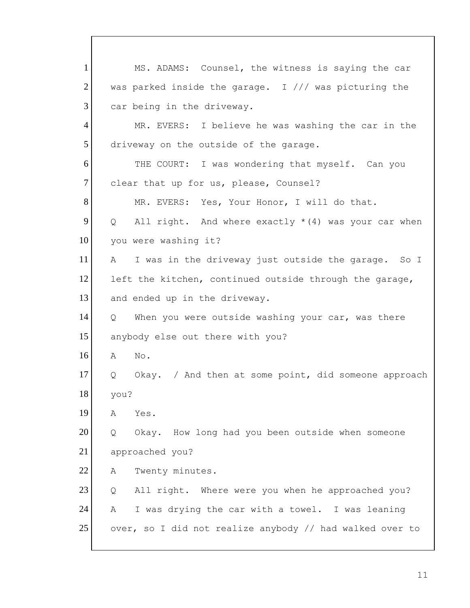1 2 3 4 5 6 7 8 9 10 11 12 13 14 15 16 17 18 19 20 21 22 23 24 25 MS. ADAMS: Counsel, the witness is saying the car was parked inside the garage. I  $//$  was picturing the car being in the driveway. MR. EVERS: I believe he was washing the car in the driveway on the outside of the garage. THE COURT: I was wondering that myself. Can you clear that up for us, please, Counsel? MR. EVERS: Yes, Your Honor, I will do that. Q All right. And where exactly \*(4) was your car when you were washing it? A I was in the driveway just outside the garage. So I left the kitchen, continued outside through the garage, and ended up in the driveway. Q When you were outside washing your car, was there anybody else out there with you? A No. Q Okay. / And then at some point, did someone approach you? A Yes. Q Okay. How long had you been outside when someone approached you? A Twenty minutes. Q All right. Where were you when he approached you? A I was drying the car with a towel. I was leaning over, so I did not realize anybody // had walked over to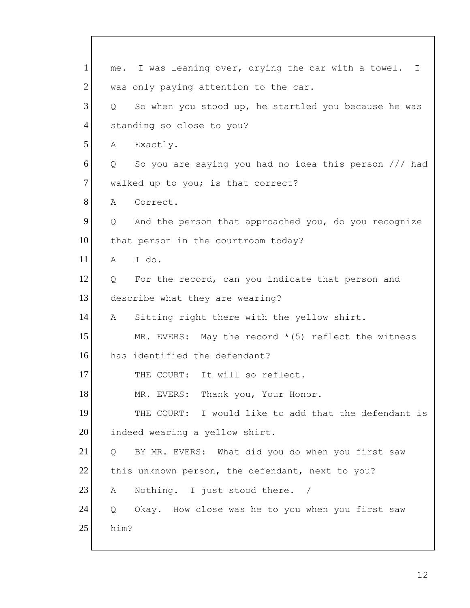1 2 3 4 5 6 7 8 9 10 11 12 13 14 15 16 17 18 19 20 21 22 23 24 25 me. I was leaning over, drying the car with a towel. I was only paying attention to the car. Q So when you stood up, he startled you because he was standing so close to you? A Exactly. Q So you are saying you had no idea this person /// had walked up to you; is that correct? A Correct. Q And the person that approached you, do you recognize that person in the courtroom today? A I do. Q For the record, can you indicate that person and describe what they are wearing? A Sitting right there with the yellow shirt. MR. EVERS: May the record  $*(5)$  reflect the witness has identified the defendant? THE COURT: It will so reflect. MR. EVERS: Thank you, Your Honor. THE COURT: I would like to add that the defendant is indeed wearing a yellow shirt. Q BY MR. EVERS: What did you do when you first saw this unknown person, the defendant, next to you? A Nothing. I just stood there. / Q Okay. How close was he to you when you first saw him?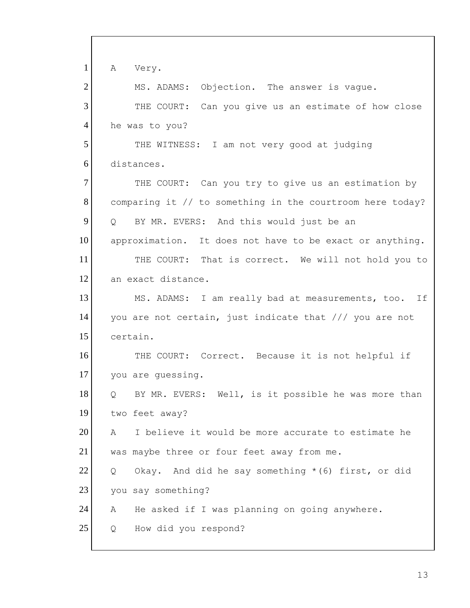1 2 3 4 5 6 7 8 9 10 11 12 13 14 15 16 17 18 19 20 21 22 23 24 25 A Very. MS. ADAMS: Objection. The answer is vague. THE COURT: Can you give us an estimate of how close he was to you? THE WITNESS: I am not very good at judging distances. THE COURT: Can you try to give us an estimation by comparing it // to something in the courtroom here today? Q BY MR. EVERS: And this would just be an approximation. It does not have to be exact or anything. THE COURT: That is correct. We will not hold you to an exact distance. MS. ADAMS: I am really bad at measurements, too. If you are not certain, just indicate that /// you are not certain. THE COURT: Correct. Because it is not helpful if you are guessing. Q BY MR. EVERS: Well, is it possible he was more than two feet away? A I believe it would be more accurate to estimate he was maybe three or four feet away from me. Q Okay. And did he say something \*(6) first, or did you say something? A He asked if I was planning on going anywhere. Q How did you respond?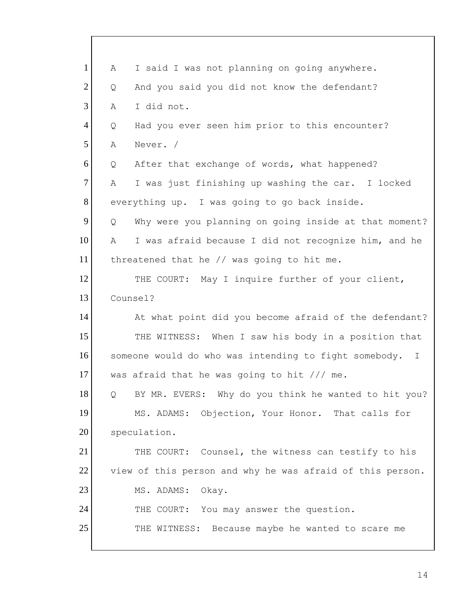| $\mathbf{1}$   | Α | I said I was not planning on going anywhere.               |
|----------------|---|------------------------------------------------------------|
| $\overline{2}$ | Q | And you said you did not know the defendant?               |
| 3              | Α | I did not.                                                 |
| $\overline{4}$ | Q | Had you ever seen him prior to this encounter?             |
| 5              | Α | Never. /                                                   |
| 6              | Q | After that exchange of words, what happened?               |
| $\tau$         | Α | I was just finishing up washing the car. I locked          |
| 8              |   | everything up. I was going to go back inside.              |
| 9              | Q | Why were you planning on going inside at that moment?      |
| 10             | Α | I was afraid because I did not recognize him, and he       |
| 11             |   | threatened that he // was going to hit me.                 |
| 12             |   | THE COURT: May I inquire further of your client,           |
| 13             |   | Counsel?                                                   |
| 14             |   | At what point did you become afraid of the defendant?      |
| 15             |   | THE WITNESS: When I saw his body in a position that        |
| 16             |   | someone would do who was intending to fight somebody.<br>T |
| 17             |   | was afraid that he was going to hit /// me.                |
| 18             | Q | BY MR. EVERS: Why do you think he wanted to hit you?       |
| 19             |   | MS. ADAMS: Objection, Your Honor. That calls for           |
| 20             |   | speculation.                                               |
| 21             |   | THE COURT: Counsel, the witness can testify to his         |
| 22             |   | view of this person and why he was afraid of this person.  |
| 23             |   | MS. ADAMS:<br>Okay.                                        |
| 24             |   | THE COURT: You may answer the question.                    |
| 25             |   | THE WITNESS:<br>Because maybe he wanted to scare me        |
|                |   |                                                            |

 $\overline{\Gamma}$ 

I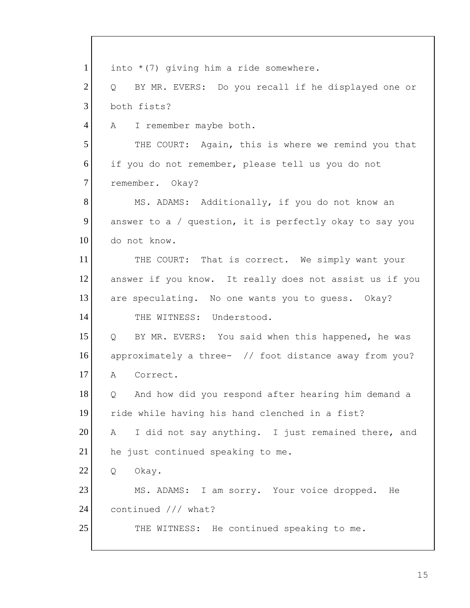| $\mathbf{1}$   | into $*(7)$ giving him a ride somewhere.                            |
|----------------|---------------------------------------------------------------------|
| $\overline{2}$ | BY MR. EVERS: Do you recall if he displayed one or<br>$Q_{\rm max}$ |
| 3              | both fists?                                                         |
| $\overline{4}$ | I remember maybe both.<br>A                                         |
| 5              | THE COURT: Again, this is where we remind you that                  |
| 6              | if you do not remember, please tell us you do not                   |
| $\overline{7}$ | remember. Okay?                                                     |
| 8              | MS. ADAMS: Additionally, if you do not know an                      |
| 9              | answer to a / question, it is perfectly okay to say you             |
| 10             | do not know.                                                        |
| 11             | THE COURT: That is correct. We simply want your                     |
| 12             | answer if you know. It really does not assist us if you             |
| 13             | are speculating. No one wants you to guess. Okay?                   |
| 14             | THE WITNESS: Understood.                                            |
| 15             | BY MR. EVERS: You said when this happened, he was<br>$Q \qquad$     |
| 16             | approximately a three- // foot distance away from you?              |
| 17             | Correct.<br>A                                                       |
| 18             | And how did you respond after hearing him demand a<br>Q             |
| 19             | ride while having his hand clenched in a fist?                      |
| 20             | I did not say anything. I just remained there, and<br>A             |
| 21             | he just continued speaking to me.                                   |
| 22             | Okay.<br>Q                                                          |
| 23             | MS. ADAMS: I am sorry. Your voice dropped.<br>He                    |
| 24             | continued /// what?                                                 |
| 25             | THE WITNESS: He continued speaking to me.                           |
|                |                                                                     |

 $\mathsf{r}$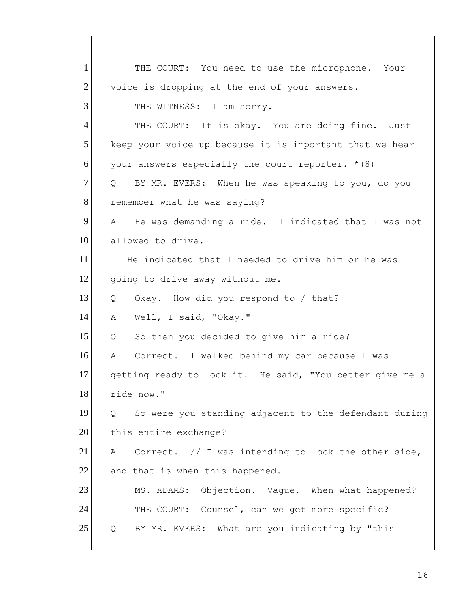A Correct. I walked behind my car because I was 1 2 3 4 5 6 7 8 9 10 11 12 13 14 15 16 17 18 19 20 21 22 23 24 25 THE COURT: You need to use the microphone. Your voice is dropping at the end of your answers. THE WITNESS: I am sorry. THE COURT: It is okay. You are doing fine. Just keep your voice up because it is important that we hear your answers especially the court reporter.  $*(8)$ Q BY MR. EVERS: When he was speaking to you, do you remember what he was saying? A He was demanding a ride. I indicated that I was not allowed to drive. He indicated that I needed to drive him or he was going to drive away without me. Q Okay. How did you respond to / that? A Well, I said, "Okay." Q So then you decided to give him a ride? getting ready to lock it. He said, "You better give me a ride now." Q So were you standing adjacent to the defendant during this entire exchange? A Correct. // I was intending to lock the other side, and that is when this happened. MS. ADAMS: Objection. Vague. When what happened? THE COURT: Counsel, can we get more specific? Q BY MR. EVERS: What are you indicating by "this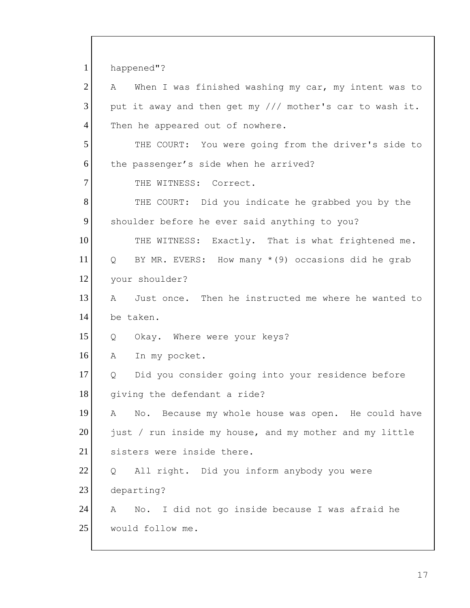1 2 3 4 5 6 7 8 9 10 11 12 13 14 15 16 17 18 19 20 21 22 23 24 25 happened"? A When I was finished washing my car, my intent was to put it away and then get my /// mother's car to wash it. Then he appeared out of nowhere. THE COURT: You were going from the driver's side to the passenger's side when he arrived? THE WITNESS: Correct. THE COURT: Did you indicate he grabbed you by the shoulder before he ever said anything to you? THE WITNESS: Exactly. That is what frightened me. Q BY MR. EVERS: How many  $*(9)$  occasions did he grab your shoulder? A Just once. Then he instructed me where he wanted to be taken. Q Okay. Where were your keys? A In my pocket. Q Did you consider going into your residence before giving the defendant a ride? A No. Because my whole house was open. He could have just / run inside my house, and my mother and my little sisters were inside there. Q All right. Did you inform anybody you were departing? A No. I did not go inside because I was afraid he would follow me.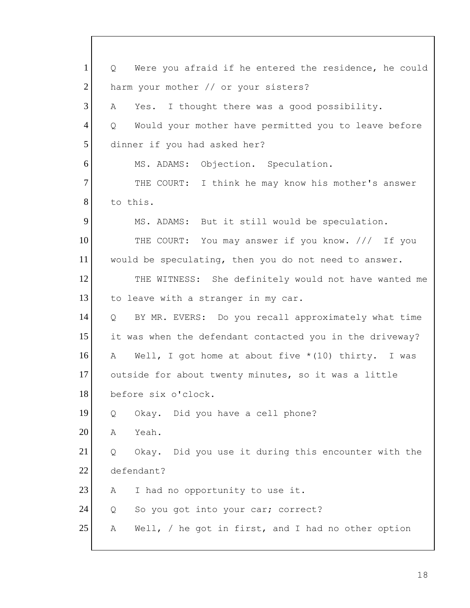| $\mathbf{1}$   | Were you afraid if he entered the residence, he could<br>Q |
|----------------|------------------------------------------------------------|
| $\overline{2}$ | harm your mother // or your sisters?                       |
| 3              | Yes. I thought there was a good possibility.<br>Α          |
| $\overline{4}$ | Would your mother have permitted you to leave before<br>Q  |
| 5              | dinner if you had asked her?                               |
| 6              | MS. ADAMS: Objection. Speculation.                         |
| $\overline{7}$ | THE COURT: I think he may know his mother's answer         |
| 8              | to this.                                                   |
| 9              | MS. ADAMS: But it still would be speculation.              |
| 10             | THE COURT: You may answer if you know. /// If you          |
| 11             | would be speculating, then you do not need to answer.      |
| 12             | THE WITNESS: She definitely would not have wanted me       |
| 13             | to leave with a stranger in my car.                        |
| 14             | BY MR. EVERS: Do you recall approximately what time<br>Q   |
| 15             | it was when the defendant contacted you in the driveway?   |
| 16             | Well, I got home at about five $*(10)$ thirty. I was<br>A  |
| 17             | outside for about twenty minutes, so it was a little       |
| 18             | before six o'clock.                                        |
| 19             | Okay. Did you have a cell phone?<br>Q                      |
| 20             | Yeah.<br>Α                                                 |
| 21             | Okay. Did you use it during this encounter with the<br>Q   |
| 22             | defendant?                                                 |
| 23             | I had no opportunity to use it.<br>Α                       |
| 24             | So you got into your car; correct?<br>Q                    |
| 25             | Well, $/$ he got in first, and I had no other option<br>Α  |
|                |                                                            |

 $\lceil$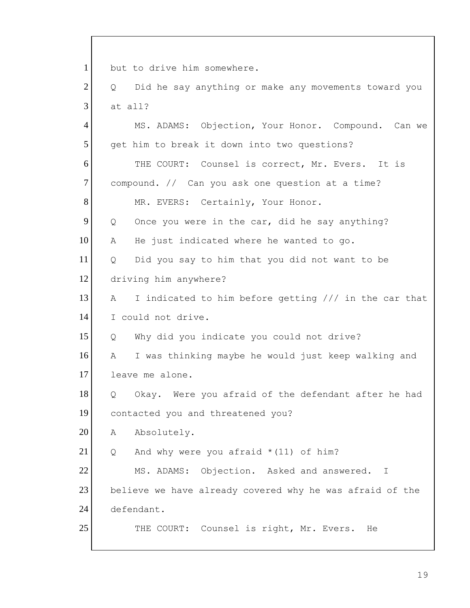compound. // Can you ask one question at a time? 1 2 3 4 5 6 7 8 9 10 11 12 13 14 15 16 17 18 19 20 21 22 23 24 25 but to drive him somewhere. Q Did he say anything or make any movements toward you at all? MS. ADAMS: Objection, Your Honor. Compound. Can we get him to break it down into two questions? THE COURT: Counsel is correct, Mr. Evers. It is MR. EVERS: Certainly, Your Honor. Q Once you were in the car, did he say anything? A He just indicated where he wanted to go. Q Did you say to him that you did not want to be driving him anywhere? A I indicated to him before getting /// in the car that I could not drive. Q Why did you indicate you could not drive? A I was thinking maybe he would just keep walking and leave me alone. Q Okay. Were you afraid of the defendant after he had contacted you and threatened you? A Absolutely. Q And why were you afraid \*(11) of him? MS. ADAMS: Objection. Asked and answered. I believe we have already covered why he was afraid of the defendant. THE COURT: Counsel is right, Mr. Evers. He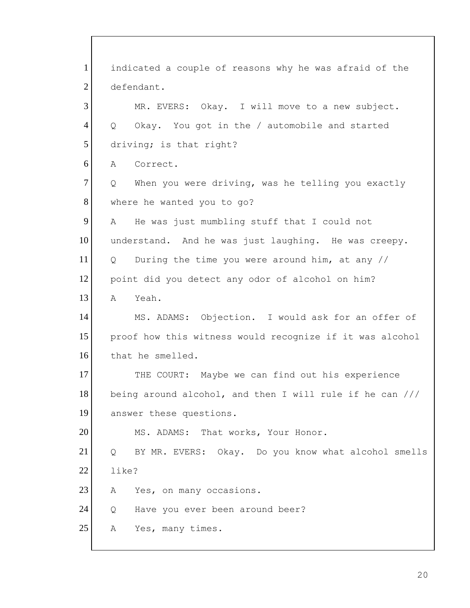1 2 3 4 5 6 7 8 9 10 11 12 13 14 15 16 17 18 19 20 21 22 23 24 25 indicated a couple of reasons why he was afraid of the defendant. MR. EVERS: Okay. I will move to a new subject. Q Okay. You got in the / automobile and started driving; is that right? A Correct. Q When you were driving, was he telling you exactly where he wanted you to go? A He was just mumbling stuff that I could not understand. And he was just laughing. He was creepy. Q During the time you were around him, at any // point did you detect any odor of alcohol on him? A Yeah. MS. ADAMS: Objection. I would ask for an offer of proof how this witness would recognize if it was alcohol that he smelled. THE COURT: Maybe we can find out his experience being around alcohol, and then I will rule if he can /// answer these questions. MS. ADAMS: That works, Your Honor. Q BY MR. EVERS: Okay. Do you know what alcohol smells like? A Yes, on many occasions. Q Have you ever been around beer? A Yes, many times.